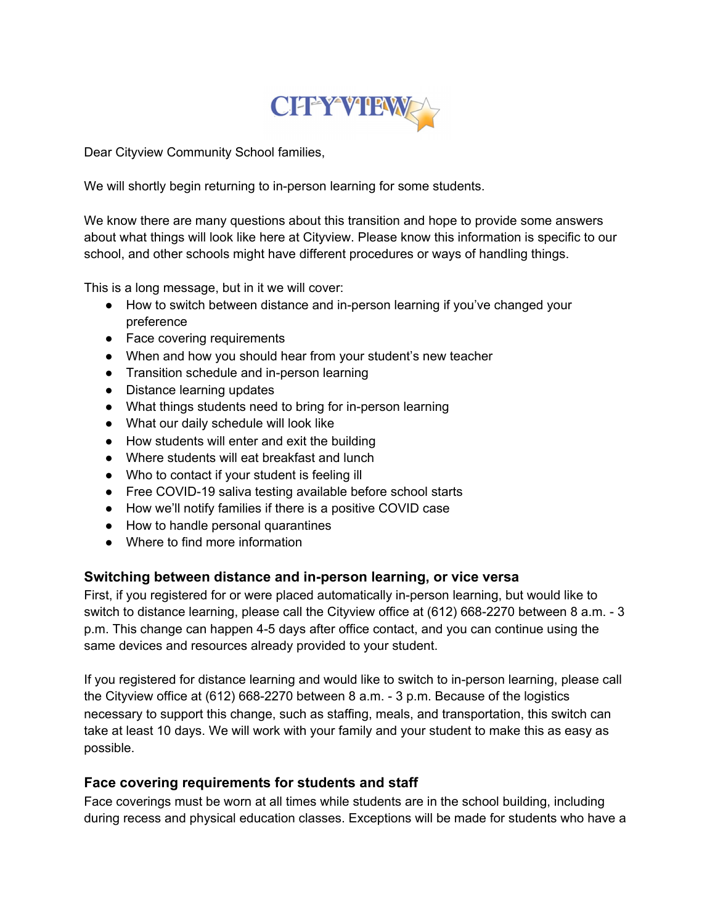

Dear Cityview Community School families,

We will shortly begin returning to in-person learning for some students.

We know there are many questions about this transition and hope to provide some answers about what things will look like here at Cityview. Please know this information is specific to our school, and other schools might have different procedures or ways of handling things.

This is a long message, but in it we will cover:

- How to switch between distance and in-person learning if you've changed your preference
- Face covering requirements
- When and how you should hear from your student's new teacher
- Transition schedule and in-person learning
- Distance learning updates
- What things students need to bring for in-person learning
- What our daily schedule will look like
- How students will enter and exit the building
- Where students will eat breakfast and lunch
- Who to contact if your student is feeling ill
- Free COVID-19 saliva testing available before school starts
- How we'll notify families if there is a positive COVID case
- How to handle personal quarantines
- Where to find more information

#### **Switching between distance and in-person learning, or vice versa**

First, if you registered for or were placed automatically in-person learning, but would like to switch to distance learning, please call the Cityview office at (612) 668-2270 between 8 a.m. - 3 p.m. This change can happen 4-5 days after office contact, and you can continue using the same devices and resources already provided to your student.

If you registered for distance learning and would like to switch to in-person learning, please call the Cityview office at (612) 668-2270 between 8 a.m. - 3 p.m. Because of the logistics necessary to support this change, such as staffing, meals, and transportation, this switch can take at least 10 days. We will work with your family and your student to make this as easy as possible.

#### **Face covering requirements for students and staff**

Face coverings must be worn at all times while students are in the school building, including during recess and physical education classes. Exceptions will be made for students who have a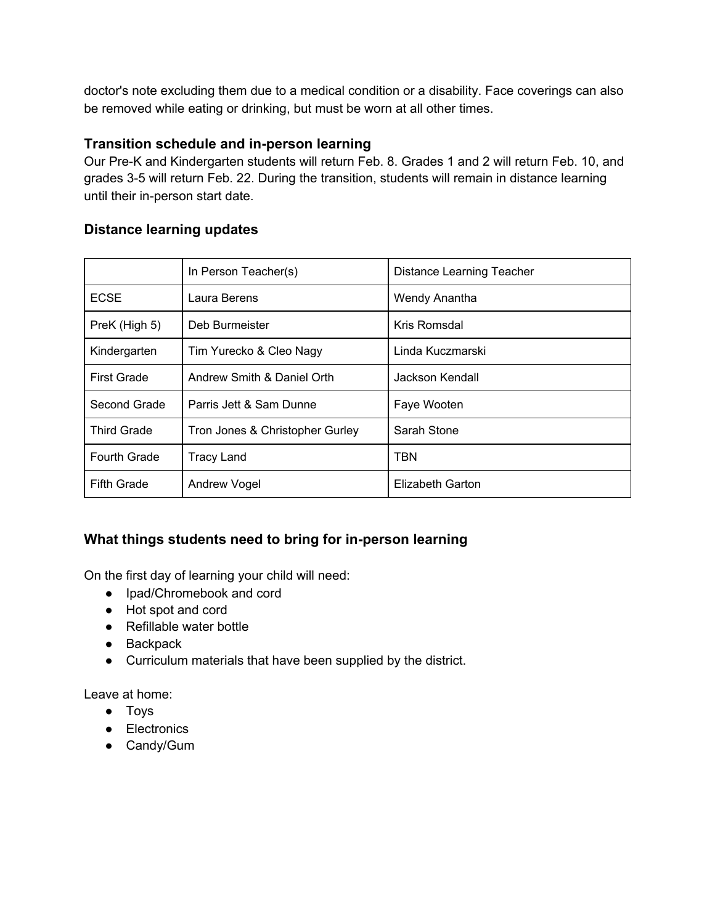doctor's note excluding them due to a medical condition or a disability. Face coverings can also be removed while eating or drinking, but must be worn at all other times.

# **Transition schedule and in-person learning**

Our Pre-K and Kindergarten students will return Feb. 8. Grades 1 and 2 will return Feb. 10, and grades 3-5 will return Feb. 22. During the transition, students will remain in distance learning until their in-person start date.

# **Distance learning updates**

|                    | In Person Teacher(s)            | Distance Learning Teacher |
|--------------------|---------------------------------|---------------------------|
| <b>ECSE</b>        | Laura Berens                    | Wendy Anantha             |
| PreK (High 5)      | Deb Burmeister                  | Kris Romsdal              |
| Kindergarten       | Tim Yurecko & Cleo Nagy         | Linda Kuczmarski          |
| <b>First Grade</b> | Andrew Smith & Daniel Orth      | Jackson Kendall           |
| Second Grade       | Parris Jett & Sam Dunne         | Faye Wooten               |
| <b>Third Grade</b> | Tron Jones & Christopher Gurley | Sarah Stone               |
| Fourth Grade       | <b>Tracy Land</b>               | TBN                       |
| <b>Fifth Grade</b> | Andrew Vogel                    | Elizabeth Garton          |

# **What things students need to bring for in-person learning**

On the first day of learning your child will need:

- Ipad/Chromebook and cord
- Hot spot and cord
- Refillable water bottle
- Backpack
- Curriculum materials that have been supplied by the district.

Leave at home:

- Toys
- Electronics
- Candy/Gum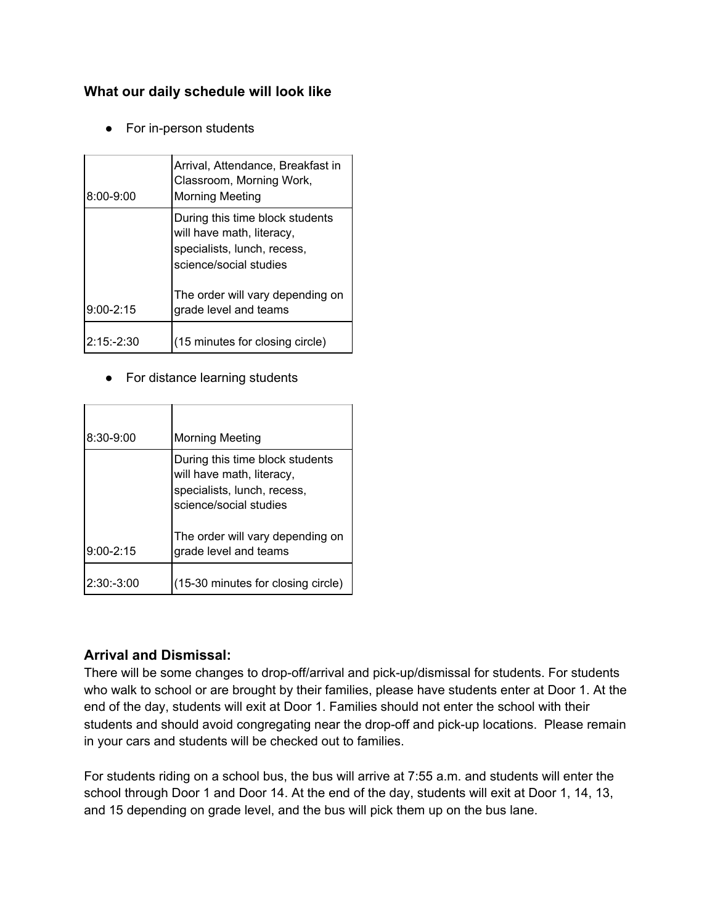# **What our daily schedule will look like**

● For in-person students

| $8:00 - 9:00$ | Arrival, Attendance, Breakfast in<br>Classroom, Morning Work,<br><b>Morning Meeting</b>                               |
|---------------|-----------------------------------------------------------------------------------------------------------------------|
|               | During this time block students<br>will have math, literacy,<br>specialists, lunch, recess,<br>science/social studies |
| $9:00 - 2:15$ | The order will vary depending on<br>grade level and teams                                                             |
| $2:15: -2:30$ | (15 minutes for closing circle)                                                                                       |

#### ● For distance learning students

| $8:30 - 9:00$ | <b>Morning Meeting</b>                                                                                                |
|---------------|-----------------------------------------------------------------------------------------------------------------------|
|               | During this time block students<br>will have math, literacy,<br>specialists, lunch, recess,<br>science/social studies |
| $9:00 - 2:15$ | The order will vary depending on<br>grade level and teams                                                             |
| 2:30:3:00     | (15-30 minutes for closing circle)                                                                                    |

# **Arrival and Dismissal:**

There will be some changes to drop-off/arrival and pick-up/dismissal for students. For students who walk to school or are brought by their families, please have students enter at Door 1. At the end of the day, students will exit at Door 1. Families should not enter the school with their students and should avoid congregating near the drop-off and pick-up locations. Please remain in your cars and students will be checked out to families.

For students riding on a school bus, the bus will arrive at 7:55 a.m. and students will enter the school through Door 1 and Door 14. At the end of the day, students will exit at Door 1, 14, 13, and 15 depending on grade level, and the bus will pick them up on the bus lane.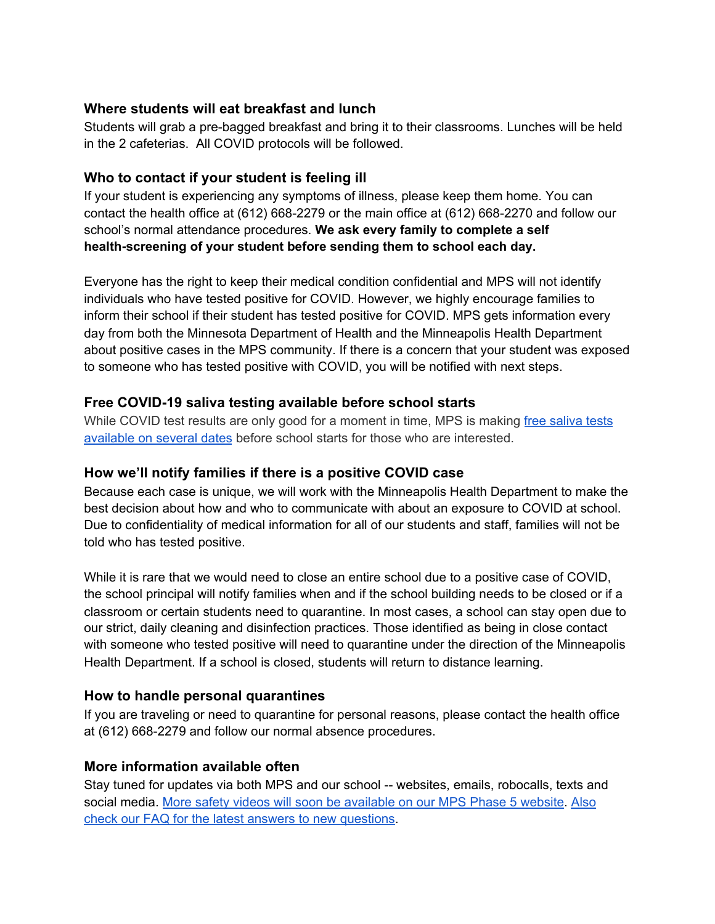### **Where students will eat breakfast and lunch**

Students will grab a pre-bagged breakfast and bring it to their classrooms. Lunches will be held in the 2 cafeterias. All COVID protocols will be followed.

## **Who to contact if your student is feeling ill**

If your student is experiencing any symptoms of illness, please keep them home. You can contact the health office at (612) 668-2279 or the main office at (612) 668-2270 and follow our school's normal attendance procedures. **We ask every family to complete a self health-screening of your student before sending them to school each day.**

Everyone has the right to keep their medical condition confidential and MPS will not identify individuals who have tested positive for COVID. However, we highly encourage families to inform their school if their student has tested positive for COVID. MPS gets information every day from both the Minnesota Department of Health and the Minneapolis Health Department about positive cases in the MPS community. If there is a concern that your student was exposed to someone who has tested positive with COVID, you will be notified with next steps.

### **Free COVID-19 saliva testing available before school starts**

While COVID test results are only good for a moment in time, MPS is making free [saliva](https://b2s.mpls.k12.mn.us/COVID-19_Testing_Dates_and_Locations) tests [available](https://b2s.mpls.k12.mn.us/COVID-19_Testing_Dates_and_Locations) on several dates before school starts for those who are interested.

#### **How we'll notify families if there is a positive COVID case**

Because each case is unique, we will work with the Minneapolis Health Department to make the best decision about how and who to communicate with about an exposure to COVID at school. Due to confidentiality of medical information for all of our students and staff, families will not be told who has tested positive.

While it is rare that we would need to close an entire school due to a positive case of COVID, the school principal will notify families when and if the school building needs to be closed or if a classroom or certain students need to quarantine. In most cases, a school can stay open due to our strict, daily cleaning and disinfection practices. Those identified as being in close contact with someone who tested positive will need to quarantine under the direction of the Minneapolis Health Department. If a school is closed, students will return to distance learning.

#### **How to handle personal quarantines**

If you are traveling or need to quarantine for personal reasons, please contact the health office at (612) 668-2279 and follow our normal absence procedures.

#### **More information available often**

Stay tuned for updates via both MPS and our school -- websites, emails, robocalls, texts and social media. More safety videos will soon be [available](https://b2s.mpls.k12.mn.us/Home) on our MPS Phase 5 website. [Also](https://b2s.mpls.k12.mn.us/Phase5_FAQ) check our FAQ for the latest answers to new [questions](https://b2s.mpls.k12.mn.us/Phase5_FAQ).